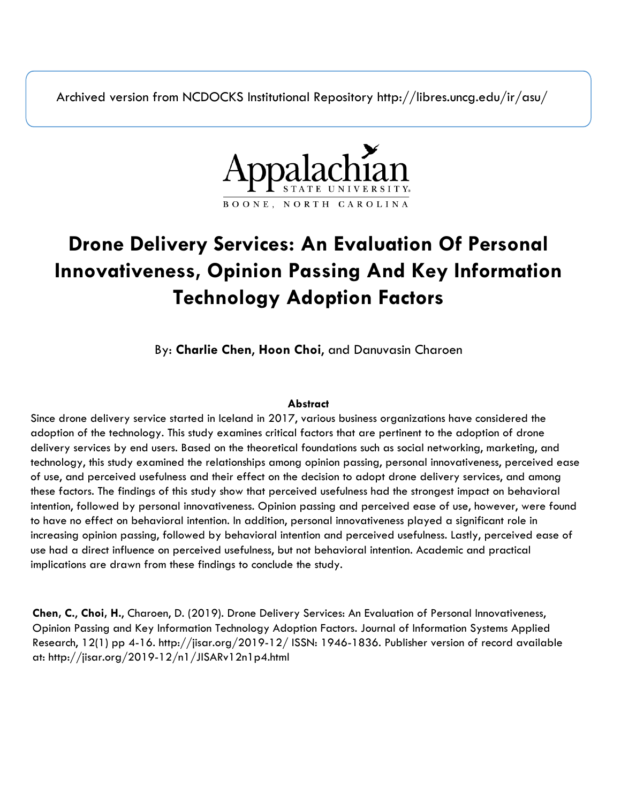Archived version from NCDOCKS Institutional Repository http://libres.uncg.edu/ir/asu/



# **Drone Delivery Services: An Evaluation Of Personal Innovativeness, Opinion Passing And Key Information Technology Adoption Factors**

By: **Charlie Chen**, **Hoon Choi**, and Danuvasin Charoen

# **Abstract**

Since drone delivery service started in Iceland in 2017, various business organizations have considered the adoption of the technology. This study examines critical factors that are pertinent to the adoption of drone delivery services by end users. Based on the theoretical foundations such as social networking, marketing, and technology, this study examined the relationships among opinion passing, personal innovativeness, perceived ease of use, and perceived usefulness and their effect on the decision to adopt drone delivery services, and among these factors. The findings of this study show that perceived usefulness had the strongest impact on behavioral intention, followed by personal innovativeness. Opinion passing and perceived ease of use, however, were found to have no effect on behavioral intention. In addition, personal innovativeness played a significant role in increasing opinion passing, followed by behavioral intention and perceived usefulness. Lastly, perceived ease of use had a direct influence on perceived usefulness, but not behavioral intention. Academic and practical implications are drawn from these findings to conclude the study.

**Chen, C.**, **Choi, H.**, Charoen, D. (2019). Drone Delivery Services: An Evaluation of Personal Innovativeness, Opinion Passing and Key Information Technology Adoption Factors. Journal of Information Systems Applied Research, 12(1) pp 4-16. http://jisar.org/2019-12/ ISSN: 1946-1836. Publisher version of record available at: http://jisar.org/2019-12/n1/JISARv12n1p4.html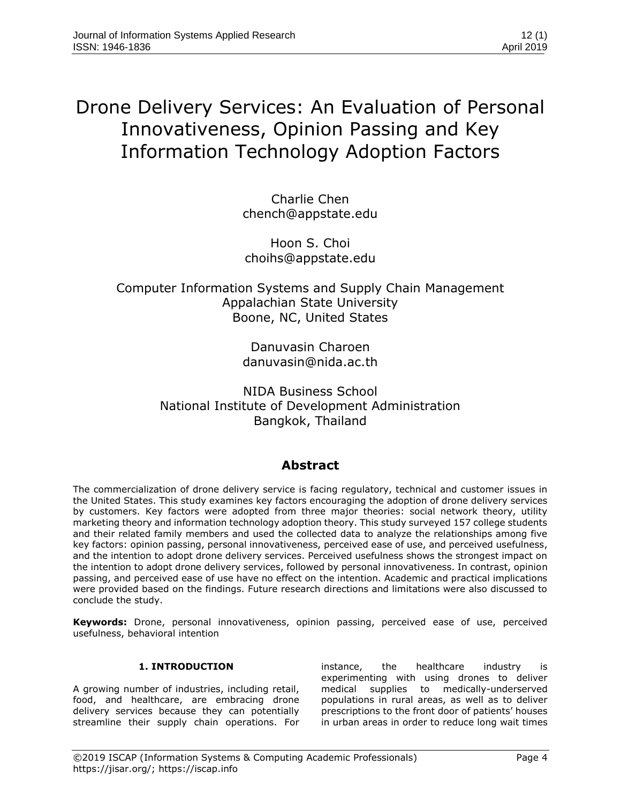# Drone Delivery Services: An Evaluation of Personal Innovativeness, Opinion Passing and Key Information Technology Adoption Factors

Charlie Chen chench@appstate.edu

Hoon S. Choi choihs@appstate.edu

# Computer Information Systems and Supply Chain Management Appalachian State University Boone, NC, United States

Danuvasin Charoen danuvasin@nida.ac.th

NIDA Business School National Institute of Development Administration Bangkok, Thailand

# **Abstract**

The commercialization of drone delivery service is facing regulatory, technical and customer issues in the United States. This study examines key factors encouraging the adoption of drone delivery services by customers. Key factors were adopted from three major theories: social network theory, utility marketing theory and information technology adoption theory. This study surveyed 157 college students and their related family members and used the collected data to analyze the relationships among five key factors: opinion passing, personal innovativeness, perceived ease of use, and perceived usefulness, and the intention to adopt drone delivery services. Perceived usefulness shows the strongest impact on the intention to adopt drone delivery services, followed by personal innovativeness. In contrast, opinion passing, and perceived ease of use have no effect on the intention. Academic and practical implications were provided based on the findings. Future research directions and limitations were also discussed to conclude the study.

**Keywords:** Drone, personal innovativeness, opinion passing, perceived ease of use, perceived usefulness, behavioral intention

# **1. INTRODUCTION**

A growing number of industries, including retail, food, and healthcare, are embracing drone delivery services because they can potentially streamline their supply chain operations. For

instance, the healthcare industry is experimenting with using drones to deliver medical supplies to medically-underserved populations in rural areas, as well as to deliver prescriptions to the front door of patients' houses in urban areas in order to reduce long wait times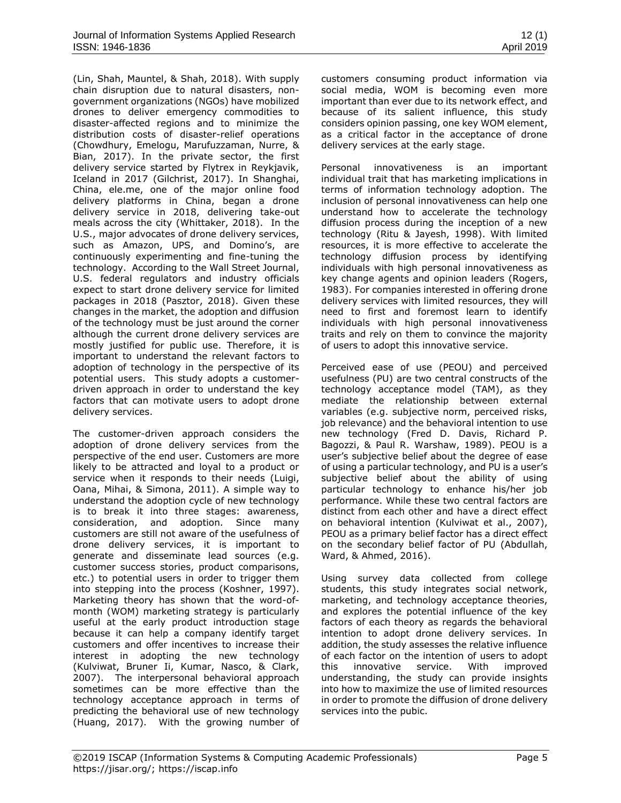[\(Lin, Shah, Mauntel, & Shah, 2018\)](#page-11-0). With supply chain disruption due to natural disasters, nongovernment organizations (NGOs) have mobilized drones to deliver emergency commodities to disaster-affected regions and to minimize the distribution costs of disaster-relief operations [\(Chowdhury, Emelogu, Marufuzzaman, Nurre, &](#page-10-0)  [Bian, 2017\)](#page-10-0). In the private sector, the first delivery service started by Flytrex in Reykjavik, Iceland in 2017 [\(Gilchrist, 2017\)](#page-10-1). In Shanghai, China, ele.me, one of the major online food delivery platforms in China, began a drone delivery service in 2018, delivering take-out meals across the city [\(Whittaker, 2018\)](#page-12-0). In the U.S., major advocates of drone delivery services, such as Amazon, UPS, and Domino's, are continuously experimenting and fine-tuning the technology. According to the Wall Street Journal, U.S. federal regulators and industry officials expect to start drone delivery service for limited packages in 2018 [\(Pasztor, 2018\)](#page-12-1). Given these changes in the market, the adoption and diffusion of the technology must be just around the corner although the current drone delivery services are mostly justified for public use. Therefore, it is important to understand the relevant factors to adoption of technology in the perspective of its potential users. This study adopts a customerdriven approach in order to understand the key factors that can motivate users to adopt drone delivery services.

The customer-driven approach considers the adoption of drone delivery services from the perspective of the end user. Customers are more likely to be attracted and loyal to a product or service when it responds to their needs [\(Luigi,](#page-11-1)  [Oana, Mihai, & Simona, 2011\)](#page-11-1). A simple way to understand the adoption cycle of new technology is to break it into three stages: awareness, consideration, and adoption. Since many customers are still not aware of the usefulness of drone delivery services, it is important to generate and disseminate lead sources (e.g. customer success stories, product comparisons, etc.) to potential users in order to trigger them into stepping into the process [\(Koshner, 1997\)](#page-11-2). Marketing theory has shown that the word-ofmonth (WOM) marketing strategy is particularly useful at the early product introduction stage because it can help a company identify target customers and offer incentives to increase their interest in adopting the new technology [\(Kulviwat, Bruner Ii, Kumar, Nasco, & Clark,](#page-11-3)  [2007\)](#page-11-3). The interpersonal behavioral approach sometimes can be more effective than the technology acceptance approach in terms of predicting the behavioral use of new technology [\(Huang, 2017\)](#page-11-4). With the growing number of customers consuming product information via social media, WOM is becoming even more important than ever due to its network effect, and because of its salient influence, this study considers opinion passing, one key WOM element, as a critical factor in the acceptance of drone delivery services at the early stage.

Personal innovativeness is an important individual trait that has marketing implications in terms of information technology adoption. The inclusion of personal innovativeness can help one understand how to accelerate the technology diffusion process during the inception of a new technology [\(Ritu & Jayesh, 1998\)](#page-12-2). With limited resources, it is more effective to accelerate the technology diffusion process by identifying individuals with high personal innovativeness as key change agents and opinion leaders [\(Rogers,](#page-12-3)  [1983\)](#page-12-3). For companies interested in offering drone delivery services with limited resources, they will need to first and foremost learn to identify individuals with high personal innovativeness traits and rely on them to convince the majority of users to adopt this innovative service.

Perceived ease of use (PEOU) and perceived usefulness (PU) are two central constructs of the technology acceptance model (TAM), as they mediate the relationship between external variables (e.g. subjective norm, perceived risks, job relevance) and the behavioral intention to use new technology [\(Fred D. Davis, Richard P.](#page-10-2)  [Bagozzi, & Paul R. Warshaw, 1989\)](#page-10-2). PEOU is a user's subjective belief about the degree of ease of using a particular technology, and PU is a user's subjective belief about the ability of using particular technology to enhance his/her job performance. While these two central factors are distinct from each other and have a direct effect on behavioral intention [\(Kulviwat et al., 2007\)](#page-11-3), PEOU as a primary belief factor has a direct effect on the secondary belief factor of PU [\(Abdullah,](#page-9-0)  [Ward, & Ahmed, 2016\)](#page-9-0).

Using survey data collected from college students, this study integrates social network, marketing, and technology acceptance theories, and explores the potential influence of the key factors of each theory as regards the behavioral intention to adopt drone delivery services. In addition, the study assesses the relative influence of each factor on the intention of users to adopt this innovative service. With improved understanding, the study can provide insights into how to maximize the use of limited resources in order to promote the diffusion of drone delivery services into the pubic.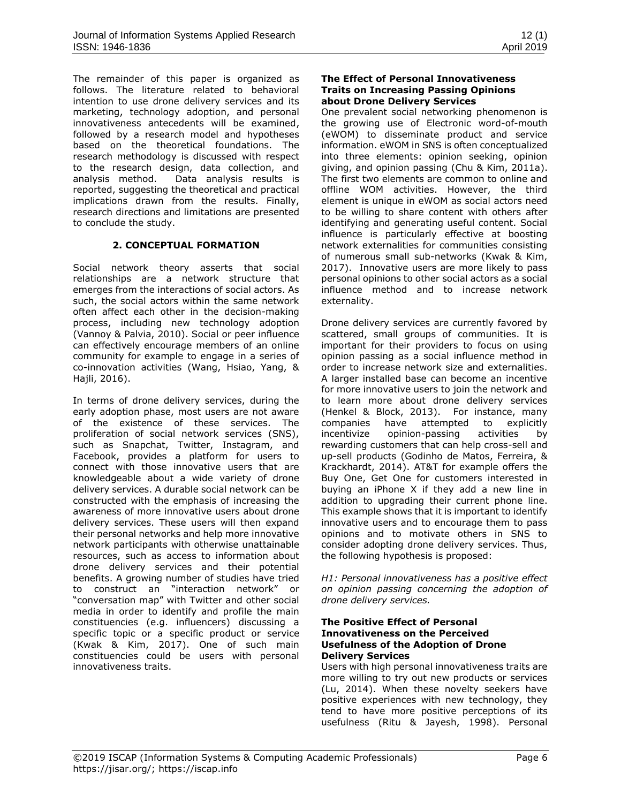The remainder of this paper is organized as follows. The literature related to behavioral intention to use drone delivery services and its marketing, technology adoption, and personal innovativeness antecedents will be examined, followed by a research model and hypotheses based on the theoretical foundations. The research methodology is discussed with respect to the research design, data collection, and analysis method. Data analysis results is reported, suggesting the theoretical and practical implications drawn from the results. Finally, research directions and limitations are presented to conclude the study.

## **2. CONCEPTUAL FORMATION**

Social network theory asserts that social relationships are a network structure that emerges from the interactions of social actors. As such, the social actors within the same network often affect each other in the decision-making process, including new technology adoption [\(Vannoy & Palvia, 2010\)](#page-12-4). Social or peer influence can effectively encourage members of an online community for example to engage in a series of co-innovation activities [\(Wang, Hsiao, Yang, &](#page-12-5)  [Hajli, 2016\)](#page-12-5).

In terms of drone delivery services, during the early adoption phase, most users are not aware of the existence of these services. The proliferation of social network services (SNS), such as Snapchat, Twitter, Instagram, and Facebook, provides a platform for users to connect with those innovative users that are knowledgeable about a wide variety of drone delivery services. A durable social network can be constructed with the emphasis of increasing the awareness of more innovative users about drone delivery services. These users will then expand their personal networks and help more innovative network participants with otherwise unattainable resources, such as access to information about drone delivery services and their potential benefits. A growing number of studies have tried to construct an "interaction network" or "conversation map" with Twitter and other social media in order to identify and profile the main constituencies (e.g. influencers) discussing a specific topic or a specific product or service [\(Kwak & Kim, 2017\)](#page-11-5). One of such main constituencies could be users with personal innovativeness traits.

#### **The Effect of Personal Innovativeness Traits on Increasing Passing Opinions about Drone Delivery Services**

One prevalent social networking phenomenon is the growing use of Electronic word-of-mouth (eWOM) to disseminate product and service information. eWOM in SNS is often conceptualized into three elements: opinion seeking, opinion giving, and opinion passing [\(Chu & Kim, 2011a\)](#page-10-3). The first two elements are common to online and offline WOM activities. However, the third element is unique in eWOM as social actors need to be willing to share content with others after identifying and generating useful content. Social influence is particularly effective at boosting network externalities for communities consisting of numerous small sub-networks [\(Kwak & Kim,](#page-11-5)  [2017\)](#page-11-5). Innovative users are more likely to pass personal opinions to other social actors as a social influence method and to increase network externality.

Drone delivery services are currently favored by scattered, small groups of communities. It is important for their providers to focus on using opinion passing as a social influence method in order to increase network size and externalities. A larger installed base can become an incentive for more innovative users to join the network and to learn more about drone delivery services [\(Henkel & Block, 2013\)](#page-10-4). For instance, many companies have attempted to explicitly incentivize opinion-passing activities by rewarding customers that can help cross-sell and up-sell products [\(Godinho de Matos, Ferreira, &](#page-10-5)  [Krackhardt, 2014\)](#page-10-5). AT&T for example offers the Buy One, Get One for customers interested in buying an iPhone X if they add a new line in addition to upgrading their current phone line. This example shows that it is important to identify innovative users and to encourage them to pass opinions and to motivate others in SNS to consider adopting drone delivery services. Thus, the following hypothesis is proposed:

*H1: Personal innovativeness has a positive effect on opinion passing concerning the adoption of drone delivery services.* 

#### **The Positive Effect of Personal Innovativeness on the Perceived Usefulness of the Adoption of Drone Delivery Services**

Users with high personal innovativeness traits are more willing to try out new products or services [\(Lu, 2014\)](#page-11-6). When these novelty seekers have positive experiences with new technology, they tend to have more positive perceptions of its usefulness [\(Ritu & Jayesh, 1998\)](#page-12-2). Personal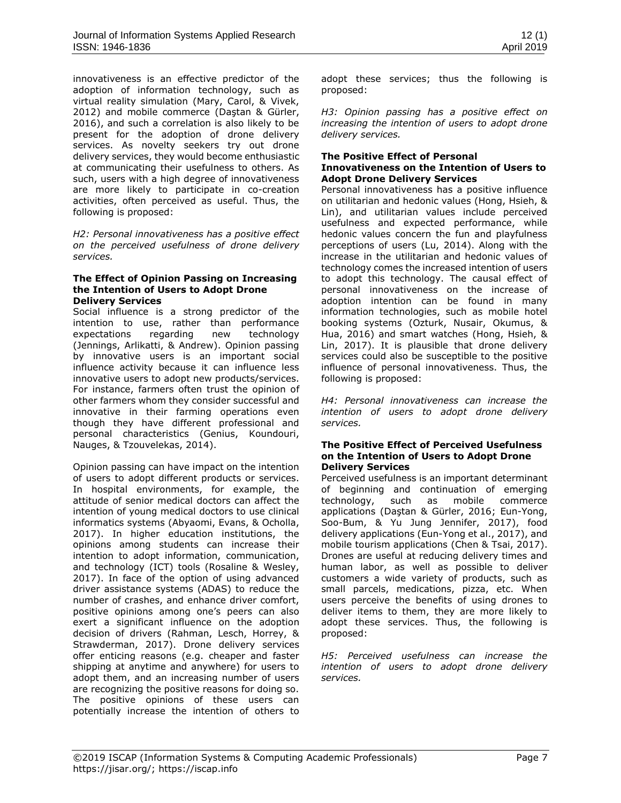innovativeness is an effective predictor of the adoption of information technology, such as virtual reality simulation [\(Mary, Carol, & Vivek,](#page-11-7)  [2012\)](#page-11-7) and mobile commerce ([Daştan & Gürler,](#page-10-6)  [2016\)](#page-10-6), and such a correlation is also likely to be present for the adoption of drone delivery services. As novelty seekers try out drone delivery services, they would become enthusiastic at communicating their usefulness to others. As such, users with a high degree of innovativeness are more likely to participate in co-creation activities, often perceived as useful. Thus, the following is proposed:

*H2: Personal innovativeness has a positive effect on the perceived usefulness of drone delivery services.* 

#### **The Effect of Opinion Passing on Increasing the Intention of Users to Adopt Drone Delivery Services**

Social influence is a strong predictor of the intention to use, rather than performance expectations regarding new technology [\(Jennings, Arlikatti, & Andrew\)](#page-11-8). Opinion passing by innovative users is an important social influence activity because it can influence less innovative users to adopt new products/services. For instance, farmers often trust the opinion of other farmers whom they consider successful and innovative in their farming operations even though they have different professional and personal characteristics [\(Genius, Koundouri,](#page-10-7)  [Nauges, & Tzouvelekas, 2014\)](#page-10-7).

Opinion passing can have impact on the intention of users to adopt different products or services. In hospital environments, for example, the attitude of senior medical doctors can affect the intention of young medical doctors to use clinical informatics systems [\(Abyaomi, Evans, & Ocholla,](#page-9-1)  [2017\)](#page-9-1). In higher education institutions, the opinions among students can increase their intention to adopt information, communication, and technology (ICT) tools [\(Rosaline & Wesley,](#page-12-6)  [2017\)](#page-12-6). In face of the option of using advanced driver assistance systems (ADAS) to reduce the number of crashes, and enhance driver comfort, positive opinions among one's peers can also exert a significant influence on the adoption decision of drivers [\(Rahman, Lesch, Horrey, &](#page-12-7)  [Strawderman, 2017\)](#page-12-7). Drone delivery services offer enticing reasons (e.g. cheaper and faster shipping at anytime and anywhere) for users to adopt them, and an increasing number of users are recognizing the positive reasons for doing so. The positive opinions of these users can potentially increase the intention of others to

adopt these services; thus the following is proposed:

*H3: Opinion passing has a positive effect on increasing the intention of users to adopt drone delivery services.*

# **The Positive Effect of Personal**

#### **Innovativeness on the Intention of Users to Adopt Drone Delivery Services**

Personal innovativeness has a positive influence on utilitarian and hedonic values [\(Hong, Hsieh, &](#page-11-9)  [Lin\)](#page-11-9), and utilitarian values include perceived usefulness and expected performance, while hedonic values concern the fun and playfulness perceptions of users [\(Lu, 2014\)](#page-11-6). Along with the increase in the utilitarian and hedonic values of technology comes the increased intention of users to adopt this technology. The causal effect of personal innovativeness on the increase of adoption intention can be found in many information technologies, such as mobile hotel booking systems [\(Ozturk, Nusair, Okumus, &](#page-11-10)  [Hua, 2016\)](#page-11-10) and smart watches [\(Hong, Hsieh, &](#page-11-11)  [Lin, 2017\)](#page-11-11). It is plausible that drone delivery services could also be susceptible to the positive influence of personal innovativeness. Thus, the following is proposed:

*H4: Personal innovativeness can increase the intention of users to adopt drone delivery services.* 

#### **The Positive Effect of Perceived Usefulness on the Intention of Users to Adopt Drone Delivery Services**

Perceived usefulness is an important determinant of beginning and continuation of emerging technology, such as mobile commerce applications ([Daştan & Gürler, 2016](#page-10-6); [Eun-Yong,](#page-10-8)  [Soo-Bum, & Yu Jung Jennifer, 2017\)](#page-10-8), food delivery applications [\(Eun-Yong et al., 2017\)](#page-10-8), and mobile tourism applications [\(Chen & Tsai, 2017\)](#page-9-2). Drones are useful at reducing delivery times and human labor, as well as possible to deliver customers a wide variety of products, such as small parcels, medications, pizza, etc. When users perceive the benefits of using drones to deliver items to them, they are more likely to adopt these services. Thus, the following is proposed:

*H5: Perceived usefulness can increase the intention of users to adopt drone delivery services.*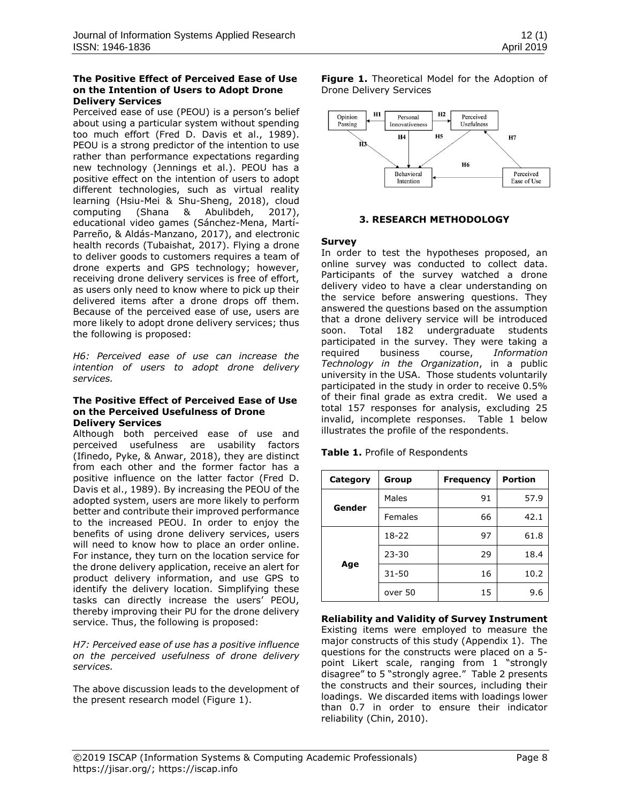#### **The Positive Effect of Perceived Ease of Use on the Intention of Users to Adopt Drone Delivery Services**

Perceived ease of use (PEOU) is a person's belief about using a particular system without spending too much effort [\(Fred D. Davis et al., 1989\)](#page-10-2). PEOU is a strong predictor of the intention to use rather than performance expectations regarding new technology [\(Jennings et al.\)](#page-11-8). PEOU has a positive effect on the intention of users to adopt different technologies, such as virtual reality learning [\(Hsiu-Mei & Shu-Sheng, 2018\)](#page-11-12), cloud computing [\(Shana & Abulibdeh, 2017\)](#page-12-8), educational video games [\(Sánchez-Mena, Martí-](#page-12-9)[Parreño, & Aldás-Manzano, 2017\)](#page-12-9), and electronic health records [\(Tubaishat, 2017\)](#page-12-10). Flying a drone to deliver goods to customers requires a team of drone experts and GPS technology; however, receiving drone delivery services is free of effort, as users only need to know where to pick up their delivered items after a drone drops off them. Because of the perceived ease of use, users are more likely to adopt drone delivery services; thus the following is proposed:

*H6: Perceived ease of use can increase the intention of users to adopt drone delivery services.* 

#### **The Positive Effect of Perceived Ease of Use on the Perceived Usefulness of Drone Delivery Services**

Although both perceived ease of use and perceived usefulness are usability factors [\(Ifinedo, Pyke, & Anwar, 2018\)](#page-11-13), they are distinct from each other and the former factor has a positive influence on the latter factor [\(Fred D.](#page-10-2)  [Davis et al., 1989\)](#page-10-2). By increasing the PEOU of the adopted system, users are more likely to perform better and contribute their improved performance to the increased PEOU. In order to enjoy the benefits of using drone delivery services, users will need to know how to place an order online. For instance, they turn on the location service for the drone delivery application, receive an alert for product delivery information, and use GPS to identify the delivery location. Simplifying these tasks can directly increase the users' PEOU, thereby improving their PU for the drone delivery service. Thus, the following is proposed:

*H7: Perceived ease of use has a positive influence on the perceived usefulness of drone delivery services.* 

The above discussion leads to the development of the present research model (Figure 1).

**Figure 1.** Theoretical Model for the Adoption of Drone Delivery Services



# **3. RESEARCH METHODOLOGY**

# **Survey**

In order to test the hypotheses proposed, an online survey was conducted to collect data. Participants of the survey watched a drone delivery video to have a clear understanding on the service before answering questions. They answered the questions based on the assumption that a drone delivery service will be introduced soon. Total 182 undergraduate students participated in the survey. They were taking a required business course, *Information Technology in the Organization*, in a public university in the USA. Those students voluntarily participated in the study in order to receive 0.5% of their final grade as extra credit. We used a total 157 responses for analysis, excluding 25 invalid, incomplete responses. Table 1 below illustrates the profile of the respondents.

| Category | Group     | <b>Frequency</b> | <b>Portion</b> |
|----------|-----------|------------------|----------------|
| Gender   | Males     | 91               | 57.9           |
|          | Females   | 66               | 42.1           |
| Age      | 18-22     | 97               | 61.8           |
|          | $23 - 30$ | 29               | 18.4           |
|          | $31 - 50$ | 16               | 10.2           |
|          | over 50   | 15               | 9.6            |

**Table 1.** Profile of Respondents

**Reliability and Validity of Survey Instrument** Existing items were employed to measure the major constructs of this study (Appendix 1). The questions for the constructs were placed on a 5 point Likert scale, ranging from 1 "strongly disagree" to 5 "strongly agree." Table 2 presents the constructs and their sources, including their loadings. We discarded items with loadings lower than 0.7 in order to ensure their indicator reliability [\(Chin,](#page-10-9) 2010).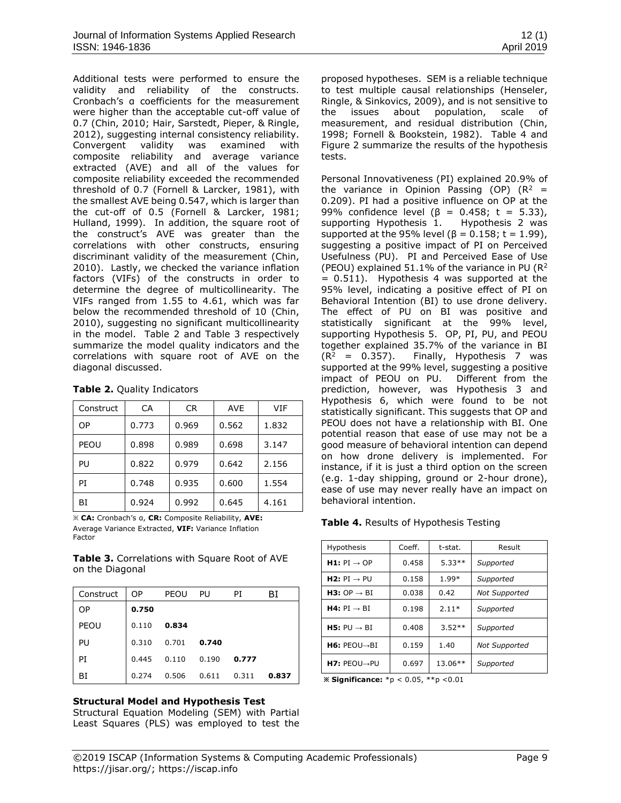Additional tests were performed to ensure the validity and reliability of the constructs. Cronbach's α coefficients for the measurement were higher than the acceptable cut-off value of 0.7 [\(Chin, 2010;](#page-10-9) [Hair, Sarstedt, Pieper, & Ringle,](#page-10-10)  [2012\)](#page-10-10), suggesting internal consistency reliability. Convergent validity was examined with composite reliability and average variance extracted (AVE) and all of the values for composite reliability exceeded the recommended threshold of 0.7 [\(Fornell & Larcker, 1981\)](#page-10-11), with the smallest AVE being 0.547, which is larger than the cut-off of 0.5 [\(Fornell & Larcker, 1981;](#page-10-11) [Hulland, 1999\)](#page-11-14). In addition, the square root of the construct's AVE was greater than the correlations with other constructs, ensuring discriminant validity of the measurement [\(Chin,](#page-10-9)  [2010\)](#page-10-9). Lastly, we checked the variance inflation factors (VIFs) of the constructs in order to determine the degree of multicollinearity. The VIFs ranged from 1.55 to 4.61, which was far below the recommended threshold of 10 [\(Chin,](#page-10-9)  [2010\)](#page-10-9), suggesting no significant multicollinearity in the model. Table 2 and Table 3 respectively summarize the model quality indicators and the correlations with square root of AVE on the diagonal discussed.

| Construct | CA    | CR.   | <b>AVE</b> | VIF   |
|-----------|-------|-------|------------|-------|
| OP        | 0.773 | 0.969 | 0.562      | 1.832 |
| PEOU      | 0.898 | 0.989 | 0.698      | 3.147 |
| PU        | 0.822 | 0.979 | 0.642      | 2.156 |
| PT        | 0.748 | 0.935 | 0.600      | 1.554 |
| ВI        | 0.924 | 0.992 | 0.645      | 4.161 |

**Table 2.** Quality Indicators

※ **CA:** Cronbach's α, **CR:** Composite Reliability, **AVE:** Average Variance Extracted, **VIF:** Variance Inflation Factor

**Table 3.** Correlations with Square Root of AVE on the Diagonal

| Construct | OP.   | PEOU  | PU    | PI    | BI    |
|-----------|-------|-------|-------|-------|-------|
| <b>OP</b> | 0.750 |       |       |       |       |
| PEOU      | 0.110 | 0.834 |       |       |       |
| PU        | 0.310 | 0.701 | 0.740 |       |       |
| PI        | 0.445 | 0.110 | 0.190 | 0.777 |       |
| BI        | 0.274 | 0.506 | 0.611 | 0.311 | 0.837 |

#### **Structural Model and Hypothesis Test**

Structural Equation Modeling (SEM) with Partial Least Squares (PLS) was employed to test the

proposed hypotheses. SEM is a reliable technique to test multiple causal relationships [\(Henseler,](#page-10-12)  [Ringle, & Sinkovics, 2009\)](#page-10-12), and is not sensitive to the issues about population, scale of measurement, and residual distribution [\(Chin,](#page-9-3)  [1998;](#page-9-3) [Fornell & Bookstein, 1982\)](#page-10-13). Table 4 and Figure 2 summarize the results of the hypothesis tests.

Personal Innovativeness (PI) explained 20.9% of the variance in Opinion Passing (OP)  $(R^2 =$ 0.209). PI had a positive influence on OP at the 99% confidence level ( $β = 0.458$ ; t = 5.33),<br>supporting Hypothesis 1. Hypothesis 2 was supporting Hypothesis 1. supported at the 95% level ( $β = 0.158$ ; t = 1.99), suggesting a positive impact of PI on Perceived Usefulness (PU). PI and Perceived Ease of Use (PEOU) explained 51.1% of the variance in PU ( $R^2$  $= 0.511$ ). Hypothesis 4 was supported at the 95% level, indicating a positive effect of PI on Behavioral Intention (BI) to use drone delivery. The effect of PU on BI was positive and statistically significant at the 99% level, supporting Hypothesis 5. OP, PI, PU, and PEOU together explained 35.7% of the variance in BI  $(R<sup>2</sup> = 0.357)$ . Finally, Hypothesis 7 was supported at the 99% level, suggesting a positive impact of PEOU on PU. Different from the prediction, however, was Hypothesis 3 and Hypothesis 6, which were found to be not statistically significant. This suggests that OP and PEOU does not have a relationship with BI. One potential reason that ease of use may not be a good measure of behavioral intention can depend on how drone delivery is implemented. For instance, if it is just a third option on the screen (e.g. 1-day shipping, ground or 2-hour drone), ease of use may never really have an impact on behavioral intention.

**Table 4.** Results of Hypothesis Testing

| Hypothesis                     | Coeff. | t-stat.   | Result               |
|--------------------------------|--------|-----------|----------------------|
| $H1: PI \rightarrow OP$        | 0.458  | $5.33**$  | Supported            |
| <b>H2:</b> $PI \rightarrow PU$ | 0.158  | 1.99*     | Supported            |
| <b>H3:</b> OP $\rightarrow$ BI | 0.038  | 0.42      | <b>Not Supported</b> |
| $H4: PI \rightarrow BI$        | 0.198  | $2.11*$   | Supported            |
| <b>H5:</b> $PU \rightarrow BI$ | 0.408  | $3.52**$  | Supported            |
| $HG: PEOU \rightarrow BI$      | 0.159  | 1.40      | <b>Not Supported</b> |
| $H7:$ PEOU $\rightarrow$ PU    | 0.697  | $13.06**$ | Supported            |

**※ Significance:** \*p < 0.05, \*\*p <0.01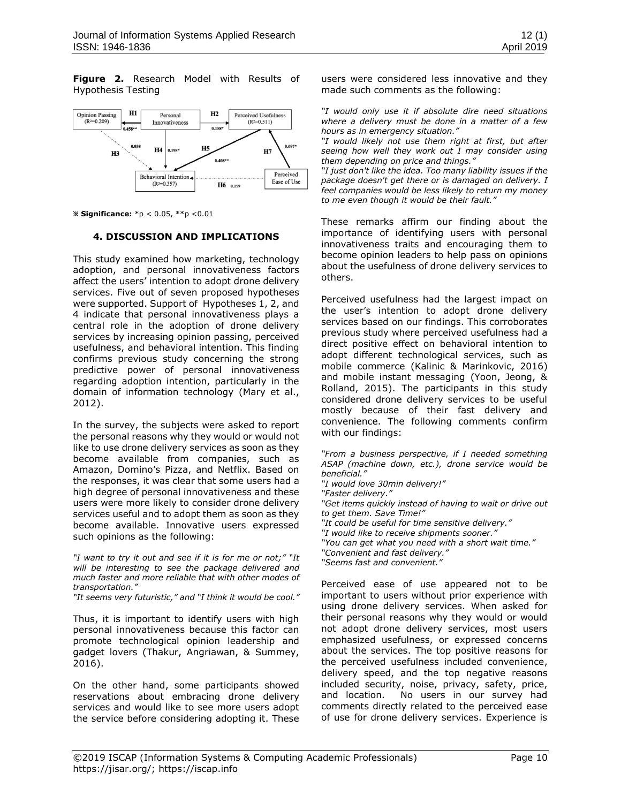**Figure 2.** Research Model with Results of Hypothesis Testing



**※ Significance:** \*p < 0.05, \*\*p <0.01

#### **4. DISCUSSION AND IMPLICATIONS**

This study examined how marketing, technology adoption, and personal innovativeness factors affect the users' intention to adopt drone delivery services. Five out of seven proposed hypotheses were supported. Support of Hypotheses 1, 2, and 4 indicate that personal innovativeness plays a central role in the adoption of drone delivery services by increasing opinion passing, perceived usefulness, and behavioral intention. This finding confirms previous study concerning the strong predictive power of personal innovativeness regarding adoption intention, particularly in the domain of information technology [\(Mary et al.,](#page-11-7)  [2012\)](#page-11-7).

In the survey, the subjects were asked to report the personal reasons why they would or would not like to use drone delivery services as soon as they become available from companies, such as Amazon, Domino's Pizza, and Netflix. Based on the responses, it was clear that some users had a high degree of personal innovativeness and these users were more likely to consider drone delivery services useful and to adopt them as soon as they become available. Innovative users expressed such opinions as the following:

*"I want to try it out and see if it is for me or not;" "It will be interesting to see the package delivered and much faster and more reliable that with other modes of transportation."*

*"It seems very futuristic," and "I think it would be cool."*

Thus, it is important to identify users with high personal innovativeness because this factor can promote technological opinion leadership and gadget lovers [\(Thakur, Angriawan, & Summey,](#page-12-11)  [2016\)](#page-12-11).

On the other hand, some participants showed reservations about embracing drone delivery services and would like to see more users adopt the service before considering adopting it. These users were considered less innovative and they made such comments as the following:

*"I would only use it if absolute dire need situations where a delivery must be done in a matter of a few hours as in emergency situation."*

*"I would likely not use them right at first, but after seeing how well they work out I may consider using them depending on price and things."* 

*"I just don't like the idea. Too many liability issues if the package doesn't get there or is damaged on delivery. I feel companies would be less likely to return my money to me even though it would be their fault."* 

These remarks affirm our finding about the importance of identifying users with personal innovativeness traits and encouraging them to become opinion leaders to help pass on opinions about the usefulness of drone delivery services to others.

Perceived usefulness had the largest impact on the user's intention to adopt drone delivery services based on our findings. This corroborates previous study where perceived usefulness had a direct positive effect on behavioral intention to adopt different technological services, such as mobile commerce [\(Kalinic & Marinkovic, 2016\)](#page-11-15) and mobile instant messaging [\(Yoon, Jeong, &](#page-12-12)  [Rolland, 2015\)](#page-12-12). The participants in this study considered drone delivery services to be useful mostly because of their fast delivery and convenience. The following comments confirm with our findings:

*"From a business perspective, if I needed something ASAP (machine down, etc.), drone service would be beneficial." "I would love 30min delivery!" "Faster delivery." "Get items quickly instead of having to wait or drive out to get them. Save Time!" "It could be useful for time sensitive delivery." "I would like to receive shipments sooner." "You can get what you need with a short wait time." "Convenient and fast delivery." "Seems fast and convenient."*

Perceived ease of use appeared not to be important to users without prior experience with using drone delivery services. When asked for their personal reasons why they would or would not adopt drone delivery services, most users emphasized usefulness, or expressed concerns about the services. The top positive reasons for the perceived usefulness included convenience, delivery speed, and the top negative reasons included security, noise, privacy, safety, price, and location. No users in our survey had comments directly related to the perceived ease of use for drone delivery services. Experience is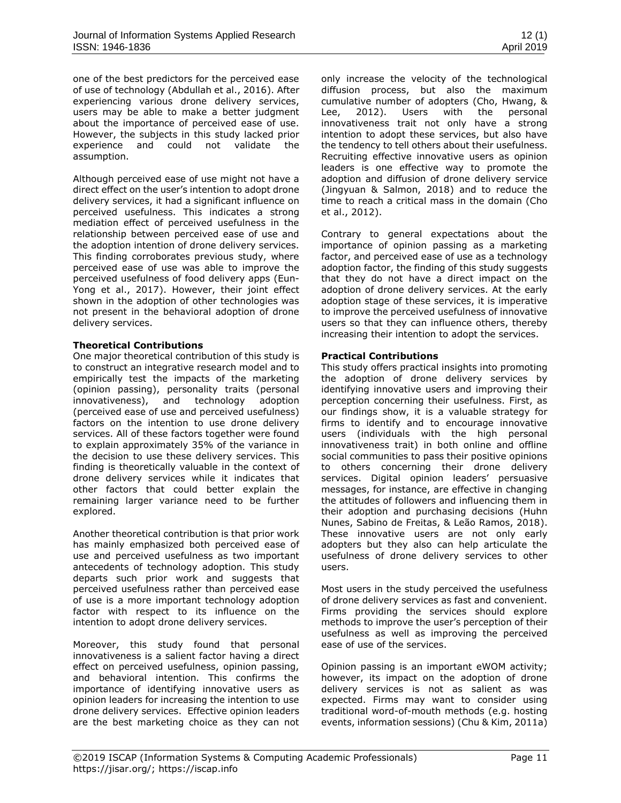one of the best predictors for the perceived ease of use of technology [\(Abdullah et al., 2016\)](#page-9-0). After experiencing various drone delivery services, users may be able to make a better judgment about the importance of perceived ease of use. However, the subjects in this study lacked prior experience and could not validate the assumption.

Although perceived ease of use might not have a direct effect on the user's intention to adopt drone delivery services, it had a significant influence on perceived usefulness. This indicates a strong mediation effect of perceived usefulness in the relationship between perceived ease of use and the adoption intention of drone delivery services. This finding corroborates previous study, where perceived ease of use was able to improve the perceived usefulness of food delivery apps [\(Eun-](#page-10-8)[Yong et al., 2017\)](#page-10-8). However, their joint effect shown in the adoption of other technologies was not present in the behavioral adoption of drone delivery services.

## **Theoretical Contributions**

One major theoretical contribution of this study is to construct an integrative research model and to empirically test the impacts of the marketing (opinion passing), personality traits (personal innovativeness), and technology adoption (perceived ease of use and perceived usefulness) factors on the intention to use drone delivery services. All of these factors together were found to explain approximately 35% of the variance in the decision to use these delivery services. This finding is theoretically valuable in the context of drone delivery services while it indicates that other factors that could better explain the remaining larger variance need to be further explored.

Another theoretical contribution is that prior work has mainly emphasized both perceived ease of use and perceived usefulness as two important antecedents of technology adoption. This study departs such prior work and suggests that perceived usefulness rather than perceived ease of use is a more important technology adoption factor with respect to its influence on the intention to adopt drone delivery services.

Moreover, this study found that personal innovativeness is a salient factor having a direct effect on perceived usefulness, opinion passing, and behavioral intention. This confirms the importance of identifying innovative users as opinion leaders for increasing the intention to use drone delivery services. Effective opinion leaders are the best marketing choice as they can not only increase the velocity of the technological diffusion process, but also the maximum cumulative number of adopters [\(Cho, Hwang, &](#page-10-14)  [Lee, 2012\)](#page-10-14). Users with the personal innovativeness trait not only have a strong intention to adopt these services, but also have the tendency to tell others about their usefulness. Recruiting effective innovative users as opinion leaders is one effective way to promote the adoption and diffusion of drone delivery service [\(Jingyuan & Salmon, 2018\)](#page-11-16) and to reduce the time to reach a critical mass in the domain [\(Cho](#page-10-14)  [et al., 2012\)](#page-10-14).

Contrary to general expectations about the importance of opinion passing as a marketing factor, and perceived ease of use as a technology adoption factor, the finding of this study suggests that they do not have a direct impact on the adoption of drone delivery services. At the early adoption stage of these services, it is imperative to improve the perceived usefulness of innovative users so that they can influence others, thereby increasing their intention to adopt the services.

## **Practical Contributions**

This study offers practical insights into promoting the adoption of drone delivery services by identifying innovative users and improving their perception concerning their usefulness. First, as our findings show, it is a valuable strategy for firms to identify and to encourage innovative users (individuals with the high personal innovativeness trait) in both online and offline social communities to pass their positive opinions to others concerning their drone delivery services. Digital opinion leaders' persuasive messages, for instance, are effective in changing the attitudes of followers and influencing them in their adoption and purchasing decisions [\(Huhn](#page-11-17)  [Nunes, Sabino de Freitas, & Leão Ramos, 2018\)](#page-11-17). These innovative users are not only early adopters but they also can help articulate the usefulness of drone delivery services to other users.

Most users in the study perceived the usefulness of drone delivery services as fast and convenient. Firms providing the services should explore methods to improve the user's perception of their usefulness as well as improving the perceived ease of use of the services.

Opinion passing is an important eWOM activity; however, its impact on the adoption of drone delivery services is not as salient as was expected. Firms may want to consider using traditional word-of-mouth methods (e.g. hosting events, information sessions) [\(Chu & Kim, 2011a\)](#page-10-3)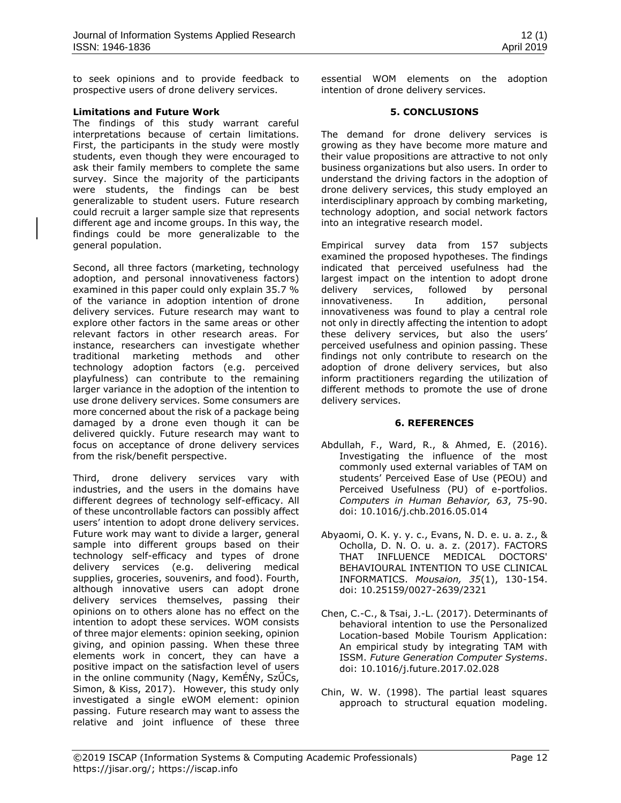to seek opinions and to provide feedback to prospective users of drone delivery services.

#### **Limitations and Future Work**

The findings of this study warrant careful interpretations because of certain limitations. First, the participants in the study were mostly students, even though they were encouraged to ask their family members to complete the same survey. Since the majority of the participants were students, the findings can be best generalizable to student users. Future research could recruit a larger sample size that represents different age and income groups. In this way, the findings could be more generalizable to the general population.

Second, all three factors (marketing, technology adoption, and personal innovativeness factors) examined in this paper could only explain 35.7 % of the variance in adoption intention of drone delivery services. Future research may want to explore other factors in the same areas or other relevant factors in other research areas. For instance, researchers can investigate whether traditional marketing methods and other technology adoption factors (e.g. perceived playfulness) can contribute to the remaining larger variance in the adoption of the intention to use drone delivery services. Some consumers are more concerned about the risk of a package being damaged by a drone even though it can be delivered quickly. Future research may want to focus on acceptance of drone delivery services from the risk/benefit perspective.

Third, drone delivery services vary with industries, and the users in the domains have different degrees of technology self-efficacy. All of these uncontrollable factors can possibly affect users' intention to adopt drone delivery services. Future work may want to divide a larger, general sample into different groups based on their technology self-efficacy and types of drone delivery services (e.g. delivering medical supplies, groceries, souvenirs, and food). Fourth, although innovative users can adopt drone delivery services themselves, passing their opinions on to others alone has no effect on the intention to adopt these services. WOM consists of three major elements: opinion seeking, opinion giving, and opinion passing. When these three elements work in concert, they can have a positive impact on the satisfaction level of users in the online community ([Nagy, KemÉNy, SzŰCs,](#page-11-18)  [Simon, & Kiss, 2017\)](#page-11-18). However, this study only investigated a single eWOM element: opinion passing. Future research may want to assess the relative and joint influence of these three

essential WOM elements on the adoption intention of drone delivery services.

#### **5. CONCLUSIONS**

The demand for drone delivery services is growing as they have become more mature and their value propositions are attractive to not only business organizations but also users. In order to understand the driving factors in the adoption of drone delivery services, this study employed an interdisciplinary approach by combing marketing, technology adoption, and social network factors into an integrative research model.

Empirical survey data from 157 subjects examined the proposed hypotheses. The findings indicated that perceived usefulness had the largest impact on the intention to adopt drone delivery services, followed by personal innovativeness. In addition, personal innovativeness was found to play a central role not only in directly affecting the intention to adopt these delivery services, but also the users' perceived usefulness and opinion passing. These findings not only contribute to research on the adoption of drone delivery services, but also inform practitioners regarding the utilization of different methods to promote the use of drone delivery services.

#### **6. REFERENCES**

- <span id="page-9-0"></span>Abdullah, F., Ward, R., & Ahmed, E. (2016). Investigating the influence of the most commonly used external variables of TAM on students' Perceived Ease of Use (PEOU) and Perceived Usefulness (PU) of e-portfolios. *Computers in Human Behavior, 63*, 75-90. doi: 10.1016/j.chb.2016.05.014
- <span id="page-9-1"></span>Abyaomi, O. K. y. y. c., Evans, N. D. e. u. a. z., & Ocholla, D. N. O. u. a. z. (2017). FACTORS THAT INFLUENCE MEDICAL DOCTORS' BEHAVIOURAL INTENTION TO USE CLINICAL INFORMATICS. *Mousaion, 35*(1), 130-154. doi: 10.25159/0027-2639/2321
- <span id="page-9-2"></span>Chen, C.-C., & Tsai, J.-L. (2017). Determinants of behavioral intention to use the Personalized Location-based Mobile Tourism Application: An empirical study by integrating TAM with ISSM. *Future Generation Computer Systems*. doi: 10.1016/j.future.2017.02.028
- <span id="page-9-3"></span>Chin, W. W. (1998). The partial least squares approach to structural equation modeling.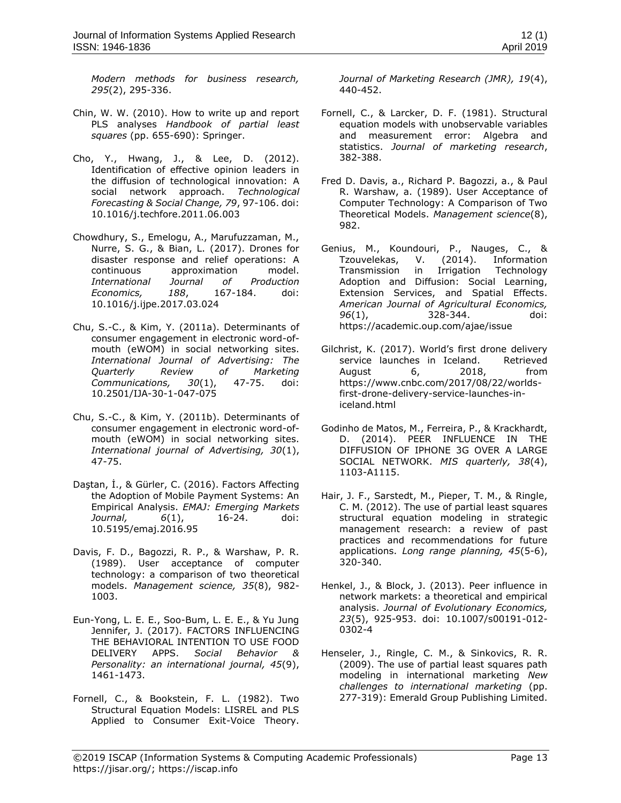*Modern methods for business research, 295*(2), 295-336.

- <span id="page-10-9"></span>Chin, W. W. (2010). How to write up and report PLS analyses *Handbook of partial least squares* (pp. 655-690): Springer.
- <span id="page-10-14"></span>Cho, Y., Hwang, J., & Lee, D. (2012). Identification of effective opinion leaders in the diffusion of technological innovation: A social network approach. *Technological Forecasting & Social Change, 79*, 97-106. doi: 10.1016/j.techfore.2011.06.003
- <span id="page-10-0"></span>Chowdhury, S., Emelogu, A., Marufuzzaman, M., Nurre, S. G., & Bian, L. (2017). Drones for disaster response and relief operations: A continuous approximation model. *International Journal of Production Economics, 188*, 167-184. doi: 10.1016/j.ijpe.2017.03.024
- <span id="page-10-3"></span>Chu, S.-C., & Kim, Y. (2011a). Determinants of consumer engagement in electronic word-ofmouth (eWOM) in social networking sites. *International Journal of Advertising: The Quarterly Review of Marketing Communications, 30*(1), 47-75. doi: 10.2501/IJA-30-1-047-075
- <span id="page-10-15"></span>Chu, S.-C., & Kim, Y. (2011b). Determinants of consumer engagement in electronic word-ofmouth (eWOM) in social networking sites. *International journal of Advertising, 30*(1), 47-75.
- <span id="page-10-6"></span>Daştan, İ., & Gürler, C. (2016). Factors Affecting the Adoption of Mobile Payment Systems: An Empirical Analysis. *EMAJ: Emerging Markets Journal, 6*(1), 16-24. doi: 10.5195/emaj.2016.95
- <span id="page-10-16"></span>Davis, F. D., Bagozzi, R. P., & Warshaw, P. R. (1989). User acceptance of computer technology: a comparison of two theoretical models. *Management science, 35*(8), 982- 1003.
- <span id="page-10-8"></span>Eun-Yong, L. E. E., Soo-Bum, L. E. E., & Yu Jung Jennifer, J. (2017). FACTORS INFLUENCING THE BEHAVIORAL INTENTION TO USE FOOD DELIVERY APPS. *Social Behavior & Personality: an international journal, 45*(9), 1461-1473.
- <span id="page-10-13"></span>Fornell, C., & Bookstein, F. L. (1982). Two Structural Equation Models: LISREL and PLS Applied to Consumer Exit-Voice Theory.

*Journal of Marketing Research (JMR), 19*(4), 440-452.

- <span id="page-10-11"></span>Fornell, C., & Larcker, D. F. (1981). Structural equation models with unobservable variables and measurement error: Algebra and statistics. *Journal of marketing research*, 382-388.
- <span id="page-10-2"></span>Fred D. Davis, a., Richard P. Bagozzi, a., & Paul R. Warshaw, a. (1989). User Acceptance of Computer Technology: A Comparison of Two Theoretical Models. *Management science*(8), 982.
- <span id="page-10-7"></span>Genius, M., Koundouri, P., Nauges, C., & Tzouvelekas, V. (2014). Information Transmission in Irrigation Technology Adoption and Diffusion: Social Learning, Extension Services, and Spatial Effects. *American Journal of Agricultural Economics, 96*(1), 328-344. doi: https://academic.oup.com/ajae/issue
- <span id="page-10-1"></span>Gilchrist, K. (2017). World's first drone delivery service launches in Iceland. Retrieved August 6, 2018, from https://www.cnbc.com/2017/08/22/worldsfirst-drone-delivery-service-launches-iniceland.html
- <span id="page-10-5"></span>Godinho de Matos, M., Ferreira, P., & Krackhardt, D. (2014). PEER INFLUENCE IN THE DIFFUSION OF IPHONE 3G OVER A LARGE SOCIAL NETWORK. *MIS quarterly, 38*(4), 1103-A1115.
- <span id="page-10-10"></span>Hair, J. F., Sarstedt, M., Pieper, T. M., & Ringle, C. M. (2012). The use of partial least squares structural equation modeling in strategic management research: a review of past practices and recommendations for future applications. *Long range planning, 45*(5-6), 320-340.
- <span id="page-10-4"></span>Henkel, J., & Block, J. (2013). Peer influence in network markets: a theoretical and empirical analysis. *Journal of Evolutionary Economics, 23*(5), 925-953. doi: 10.1007/s00191-012- 0302-4
- <span id="page-10-12"></span>Henseler, J., Ringle, C. M., & Sinkovics, R. R. (2009). The use of partial least squares path modeling in international marketing *New challenges to international marketing* (pp. 277-319): Emerald Group Publishing Limited.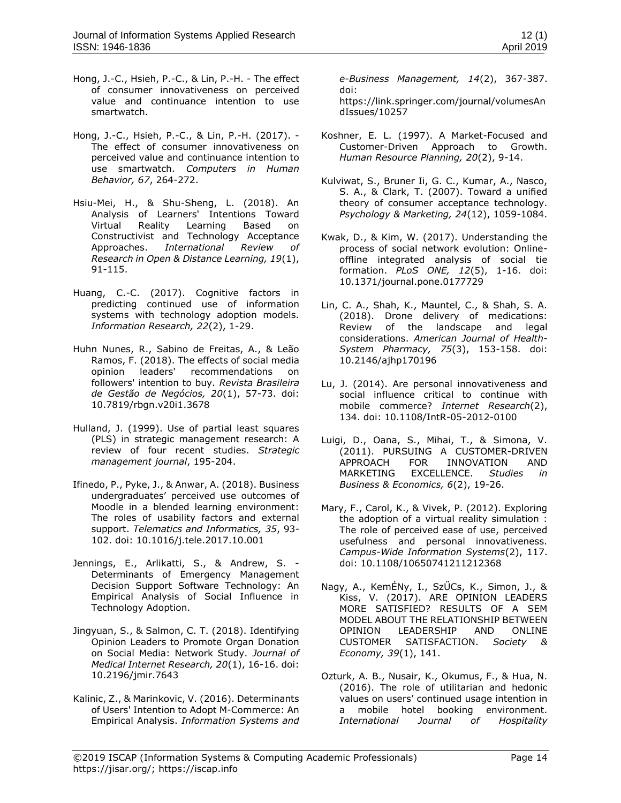- <span id="page-11-9"></span>Hong, J.-C., Hsieh, P.-C., & Lin, P.-H. - The effect of consumer innovativeness on perceived value and continuance intention to use smartwatch.
- <span id="page-11-11"></span>Hong, J.-C., Hsieh, P.-C., & Lin, P.-H. (2017). - The effect of consumer innovativeness on perceived value and continuance intention to use smartwatch. *Computers in Human Behavior, 67*, 264-272.
- <span id="page-11-12"></span>Hsiu-Mei, H., & Shu-Sheng, L. (2018). An Analysis of Learners' Intentions Toward Virtual Reality Learning Based on Constructivist and Technology Acceptance Approaches. *International Review of Research in Open & Distance Learning, 19*(1), 91-115.
- <span id="page-11-4"></span>Huang, C.-C. (2017). Cognitive factors in predicting continued use of information systems with technology adoption models. *Information Research, 22*(2), 1-29.
- <span id="page-11-17"></span>Huhn Nunes, R., Sabino de Freitas, A., & Leão Ramos, F. (2018). The effects of social media opinion leaders' recommendations on followers' intention to buy. *Revista Brasileira de Gestão de Negócios, 20*(1), 57-73. doi: 10.7819/rbgn.v20i1.3678
- <span id="page-11-14"></span>Hulland, J. (1999). Use of partial least squares (PLS) in strategic management research: A review of four recent studies. *Strategic management journal*, 195-204.
- <span id="page-11-13"></span>Ifinedo, P., Pyke, J., & Anwar, A. (2018). Business undergraduates' perceived use outcomes of Moodle in a blended learning environment: The roles of usability factors and external support. *Telematics and Informatics, 35*, 93- 102. doi: 10.1016/j.tele.2017.10.001
- <span id="page-11-8"></span>Jennings, E., Arlikatti, S., & Andrew, S. - Determinants of Emergency Management Decision Support Software Technology: An Empirical Analysis of Social Influence in Technology Adoption.
- <span id="page-11-16"></span>Jingyuan, S., & Salmon, C. T. (2018). Identifying Opinion Leaders to Promote Organ Donation on Social Media: Network Study. *Journal of Medical Internet Research, 20*(1), 16-16. doi: 10.2196/jmir.7643
- <span id="page-11-15"></span>Kalinic, Z., & Marinkovic, V. (2016). Determinants of Users' Intention to Adopt M-Commerce: An Empirical Analysis. *Information Systems and*

*e-Business Management, 14*(2), 367-387. doi: https://link.springer.com/journal/volumesAn dIssues/10257

- <span id="page-11-2"></span>Koshner, E. L. (1997). A Market-Focused and Customer-Driven Approach to Growth. *Human Resource Planning, 20*(2), 9-14.
- <span id="page-11-3"></span>Kulviwat, S., Bruner Ii, G. C., Kumar, A., Nasco, S. A., & Clark, T. (2007). Toward a unified theory of consumer acceptance technology. *Psychology & Marketing, 24*(12), 1059-1084.
- <span id="page-11-5"></span>Kwak, D., & Kim, W. (2017). Understanding the process of social network evolution: Onlineoffline integrated analysis of social tie formation. *PLoS ONE, 12*(5), 1-16. doi: 10.1371/journal.pone.0177729
- <span id="page-11-0"></span>Lin, C. A., Shah, K., Mauntel, C., & Shah, S. A. (2018). Drone delivery of medications: Review of the landscape and legal considerations. *American Journal of Health-System Pharmacy, 75*(3), 153-158. doi: 10.2146/ajhp170196
- <span id="page-11-6"></span>Lu, J. (2014). Are personal innovativeness and social influence critical to continue with mobile commerce? *Internet Research*(2), 134. doi: 10.1108/IntR-05-2012-0100
- <span id="page-11-1"></span>Luigi, D., Oana, S., Mihai, T., & Simona, V. (2011). PURSUING A CUSTOMER-DRIVEN APPROACH FOR INNOVATION AND MARKETING EXCELLENCE. *Studies in Business & Economics, 6*(2), 19-26.
- <span id="page-11-7"></span>Mary, F., Carol, K., & Vivek, P. (2012). Exploring the adoption of a virtual reality simulation : The role of perceived ease of use, perceived usefulness and personal innovativeness. *Campus-Wide Information Systems*(2), 117. doi: 10.1108/10650741211212368
- <span id="page-11-18"></span>Nagy, A., KemÉNy, I., SzŰCs, K., Simon, J., & Kiss, V. (2017). ARE OPINION LEADERS MORE SATISFIED? RESULTS OF A SEM MODEL ABOUT THE RELATIONSHIP BETWEEN OPINION LEADERSHIP AND ONLINE CUSTOMER SATISFACTION. *Society & Economy, 39*(1), 141.
- <span id="page-11-10"></span>Ozturk, A. B., Nusair, K., Okumus, F., & Hua, N. (2016). The role of utilitarian and hedonic values on users' continued usage intention in a mobile hotel booking environment.<br>International Journal of Hospitality *International Journal of Hospitality*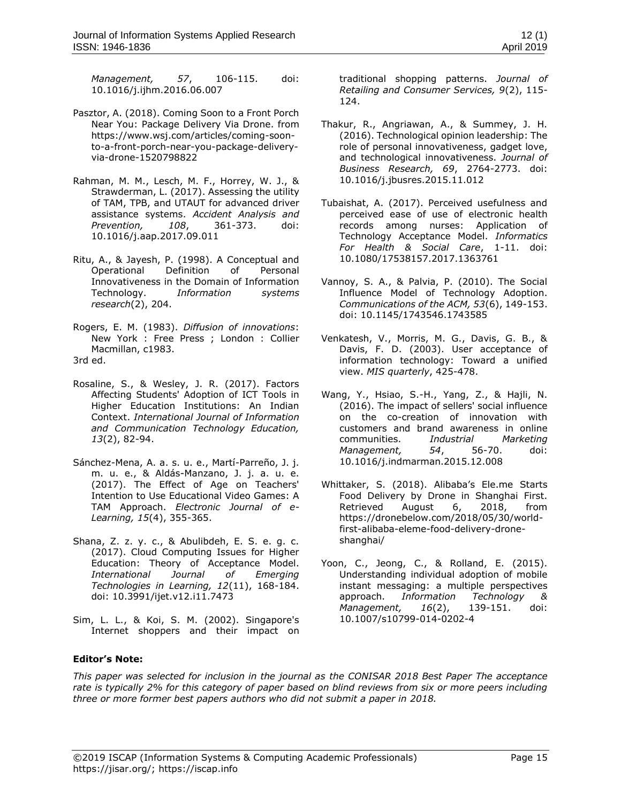*Management, 57*, 106-115. doi: 10.1016/j.ijhm.2016.06.007

- <span id="page-12-1"></span>Pasztor, A. (2018). Coming Soon to a Front Porch Near You: Package Delivery Via Drone. from https://www.wsj.com/articles/coming-soonto-a-front-porch-near-you-package-deliveryvia-drone-1520798822
- <span id="page-12-7"></span>Rahman, M. M., Lesch, M. F., Horrey, W. J., & Strawderman, L. (2017). Assessing the utility of TAM, TPB, and UTAUT for advanced driver assistance systems. *Accident Analysis and Prevention, 108*, 361-373. doi: 10.1016/j.aap.2017.09.011
- <span id="page-12-2"></span>Ritu, A., & Jayesh, P. (1998). A Conceptual and Operational Definition of Personal Innovativeness in the Domain of Information Technology. *Information systems research*(2), 204.
- <span id="page-12-3"></span>Rogers, E. M. (1983). *Diffusion of innovations*: New York : Free Press ; London : Collier Macmillan, c1983. 3rd ed.
- <span id="page-12-6"></span>Rosaline, S., & Wesley, J. R. (2017). Factors Affecting Students' Adoption of ICT Tools in Higher Education Institutions: An Indian Context. *International Journal of Information and Communication Technology Education, 13*(2), 82-94.
- <span id="page-12-9"></span>Sánchez-Mena, A. a. s. u. e., Martí-Parreño, J. j. m. u. e., & Aldás-Manzano, J. j. a. u. e. (2017). The Effect of Age on Teachers' Intention to Use Educational Video Games: A TAM Approach. *Electronic Journal of e-Learning, 15*(4), 355-365.
- <span id="page-12-8"></span>Shana, Z. z. y. c., & Abulibdeh, E. S. e. g. c. (2017). Cloud Computing Issues for Higher Education: Theory of Acceptance Model. *International Journal of Emerging Technologies in Learning, 12*(11), 168-184. doi: 10.3991/ijet.v12.i11.7473
- <span id="page-12-13"></span>Sim, L. L., & Koi, S. M. (2002). Singapore's Internet shoppers and their impact on

traditional shopping patterns. *Journal of Retailing and Consumer Services, 9*(2), 115- 124.

- <span id="page-12-11"></span>Thakur, R., Angriawan, A., & Summey, J. H. (2016). Technological opinion leadership: The role of personal innovativeness, gadget love, and technological innovativeness. *Journal of Business Research, 69*, 2764-2773. doi: 10.1016/j.jbusres.2015.11.012
- <span id="page-12-10"></span>Tubaishat, A. (2017). Perceived usefulness and perceived ease of use of electronic health records among nurses: Application of Technology Acceptance Model. *Informatics For Health & Social Care*, 1-11. doi: 10.1080/17538157.2017.1363761
- <span id="page-12-4"></span>Vannoy, S. A., & Palvia, P. (2010). The Social Influence Model of Technology Adoption. *Communications of the ACM, 53*(6), 149-153. doi: 10.1145/1743546.1743585
- <span id="page-12-14"></span>Venkatesh, V., Morris, M. G., Davis, G. B., & Davis, F. D. (2003). User acceptance of information technology: Toward a unified view. *MIS quarterly*, 425-478.
- <span id="page-12-5"></span>Wang, Y., Hsiao, S.-H., Yang, Z., & Hajli, N. (2016). The impact of sellers' social influence on the co-creation of innovation with customers and brand awareness in online communities. *Industrial Marketing Management, 54*, 56-70. doi: 10.1016/j.indmarman.2015.12.008
- <span id="page-12-0"></span>Whittaker, S. (2018). Alibaba's Ele.me Starts Food Delivery by Drone in Shanghai First. Retrieved August 6, 2018, from https://dronebelow.com/2018/05/30/worldfirst-alibaba-eleme-food-delivery-droneshanghai/
- <span id="page-12-12"></span>Yoon, C., Jeong, C., & Rolland, E. (2015). Understanding individual adoption of mobile instant messaging: a multiple perspectives approach. *Information Technology & Management, 16*(2), 139-151. doi: 10.1007/s10799-014-0202-4

# **Editor's Note:**

*This paper was selected for inclusion in the journal as the CONISAR 2018 Best Paper The acceptance rate is typically 2% for this category of paper based on blind reviews from six or more peers including three or more former best papers authors who did not submit a paper in 2018.*